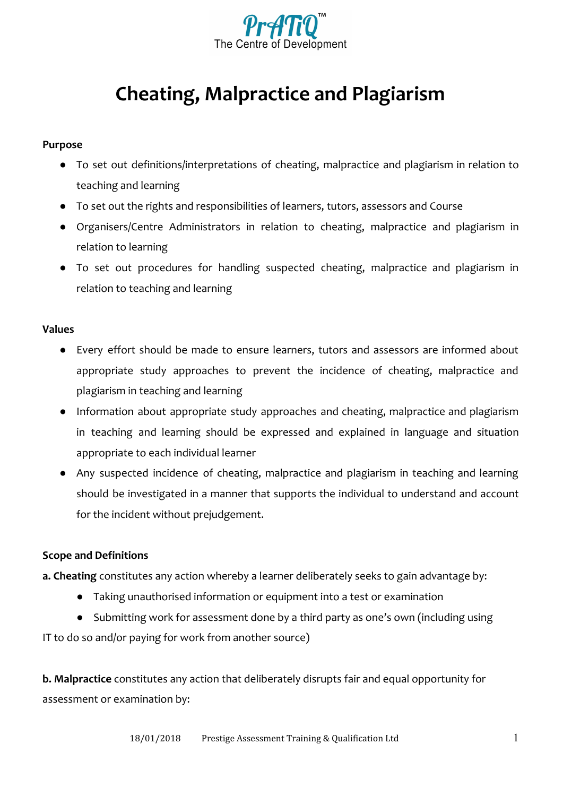

# **Cheating, Malpractice and Plagiarism**

## **Purpose**

- To set out definitions/interpretations of cheating, malpractice and plagiarism in relation to teaching and learning
- To set out the rights and responsibilities of learners, tutors, assessors and Course
- Organisers/Centre Administrators in relation to cheating, malpractice and plagiarism in relation to learning
- To set out procedures for handling suspected cheating, malpractice and plagiarism in relation to teaching and learning

#### **Values**

- Every effort should be made to ensure learners, tutors and assessors are informed about appropriate study approaches to prevent the incidence of cheating, malpractice and plagiarism in teaching and learning
- Information about appropriate study approaches and cheating, malpractice and plagiarism in teaching and learning should be expressed and explained in language and situation appropriate to each individual learner
- Any suspected incidence of cheating, malpractice and plagiarism in teaching and learning should be investigated in a manner that supports the individual to understand and account for the incident without prejudgement.

# **Scope and Definitions**

**a. Cheating** constitutes any action whereby a learner deliberately seeks to gain advantage by:

- Taking unauthorised information or equipment into a test or examination
- Submitting work for assessment done by a third party as one's own (including using

IT to do so and/or paying for work from another source)

**b. Malpractice** constitutes any action that deliberately disrupts fair and equal opportunity for assessment or examination by: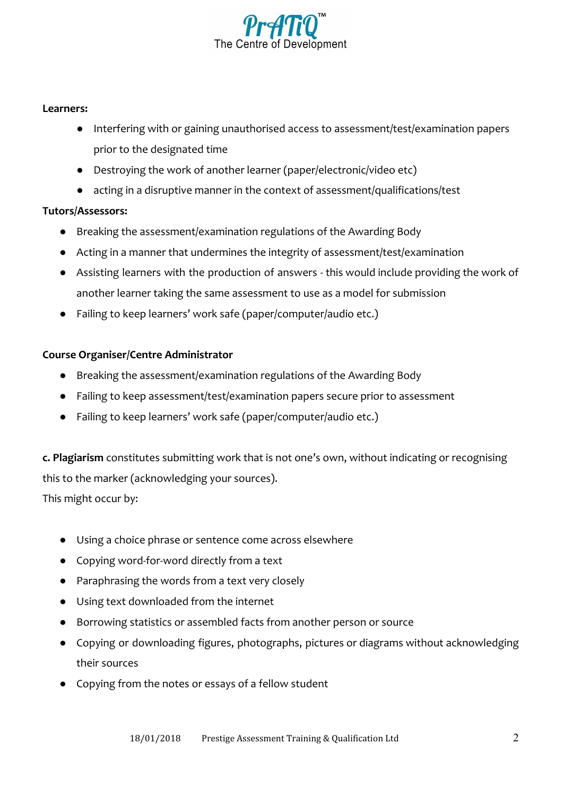

#### **Learners:**

- Interfering with or gaining unauthorised access to assessment/test/examination papers prior to the designated time
- Destroying the work of another learner (paper/electronic/video etc)
- acting in a disruptive manner in the context of assessment/qualifications/test

# **Tutors/Assessors:**

- Breaking the assessment/examination regulations of the Awarding Body
- Acting in a manner that undermines the integrity of assessment/test/examination
- Assisting learners with the production of answers this would include providing the work of another learner taking the same assessment to use as a model for submission
- Failing to keep learners' work safe (paper/computer/audio etc.)

## **Course Organiser/Centre Administrator**

- Breaking the assessment/examination regulations of the Awarding Body
- Failing to keep assessment/test/examination papers secure prior to assessment
- Failing to keep learners' work safe (paper/computer/audio etc.)

**c. Plagiarism** constitutes submitting work that is not one's own, without indicating or recognising this to the marker (acknowledging your sources).

This might occur by:

- Using a choice phrase or sentence come across elsewhere
- Copying word-for-word directly from a text
- Paraphrasing the words from a text very closely
- Using text downloaded from the internet
- Borrowing statistics or assembled facts from another person or source
- Copying or downloading figures, photographs, pictures or diagrams without acknowledging their sources
- Copying from the notes or essays of a fellow student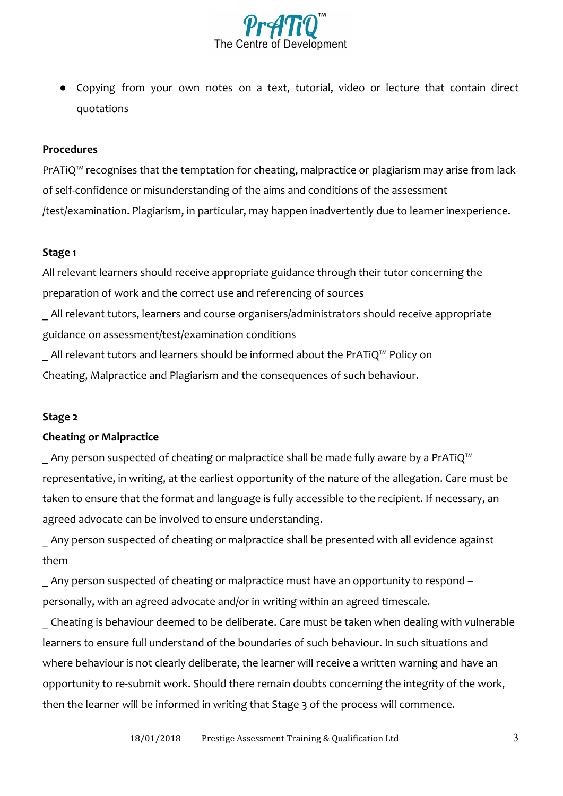

● Copying from your own notes on a text, tutorial, video or lecture that contain direct quotations

#### **Procedures**

PrATiQ<sup>™</sup> recognises that the temptation for cheating, malpractice or plagiarism may arise from lack of self-confidence or misunderstanding of the aims and conditions of the assessment /test/examination. Plagiarism, in particular, may happen inadvertently due to learner inexperience.

#### **Stage 1**

All relevant learners should receive appropriate guidance through their tutor concerning the preparation of work and the correct use and referencing of sources

\_ All relevant tutors, learners and course organisers/administrators should receive appropriate guidance on assessment/test/examination conditions

All relevant tutors and learners should be informed about the PrATiQ™ Policy on Cheating, Malpractice and Plagiarism and the consequences of such behaviour.

#### **Stage 2**

#### **Cheating or Malpractice**

Any person suspected of cheating or malpractice shall be made fully aware by a PrATiQ<sup>™</sup> representative, in writing, at the earliest opportunity of the nature of the allegation. Care must be taken to ensure that the format and language is fully accessible to the recipient. If necessary, an agreed advocate can be involved to ensure understanding.

Any person suspected of cheating or malpractice shall be presented with all evidence against them

Any person suspected of cheating or malpractice must have an opportunity to respond – personally, with an agreed advocate and/or in writing within an agreed timescale.

\_ Cheating is behaviour deemed to be deliberate. Care must be taken when dealing with vulnerable learners to ensure full understand of the boundaries of such behaviour. In such situations and where behaviour is not clearly deliberate, the learner will receive a written warning and have an opportunity to re-submit work. Should there remain doubts concerning the integrity of the work, then the learner will be informed in writing that Stage 3 of the process will commence.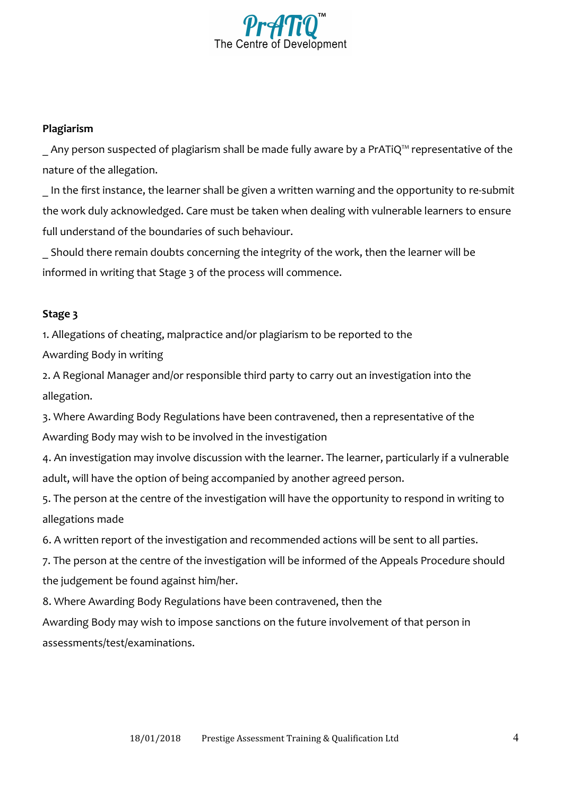

## **Plagiarism**

Any person suspected of plagiarism shall be made fully aware by a PrATiQ™ representative of the nature of the allegation.

In the first instance, the learner shall be given a written warning and the opportunity to re-submit the work duly acknowledged. Care must be taken when dealing with vulnerable learners to ensure full understand of the boundaries of such behaviour.

\_ Should there remain doubts concerning the integrity of the work, then the learner will be informed in writing that Stage 3 of the process will commence.

## **Stage 3**

1. Allegations of cheating, malpractice and/or plagiarism to be reported to the

Awarding Body in writing

2. A Regional Manager and/or responsible third party to carry out an investigation into the allegation.

3. Where Awarding Body Regulations have been contravened, then a representative of the Awarding Body may wish to be involved in the investigation

4. An investigation may involve discussion with the learner. The learner, particularly if a vulnerable adult, will have the option of being accompanied by another agreed person.

5. The person at the centre of the investigation will have the opportunity to respond in writing to allegations made

6. A written report of the investigation and recommended actions will be sent to all parties.

7. The person at the centre of the investigation will be informed of the Appeals Procedure should the judgement be found against him/her.

8. Where Awarding Body Regulations have been contravened, then the

Awarding Body may wish to impose sanctions on the future involvement of that person in assessments/test/examinations.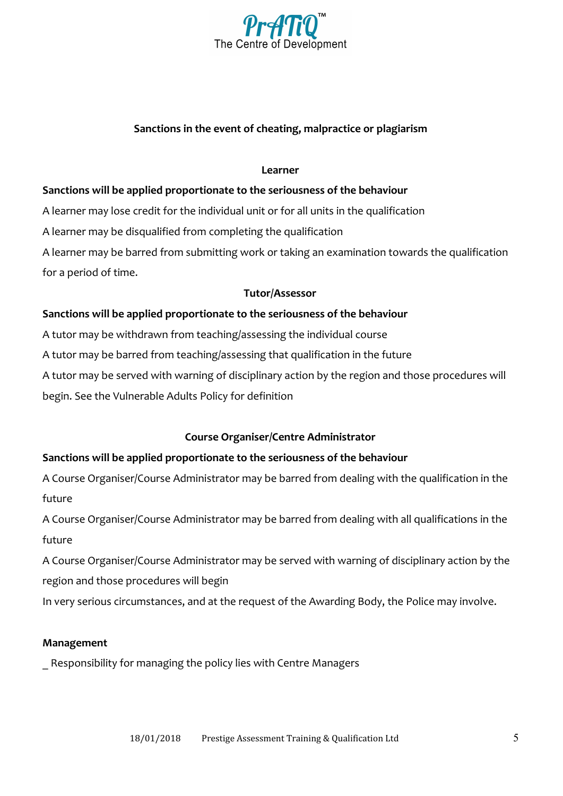

# **Sanctions in the event of cheating, malpractice or plagiarism**

#### **Learner**

## **Sanctions will be applied proportionate to the seriousness of the behaviour**

A learner may lose credit for the individual unit or for all units in the qualification

A learner may be disqualified from completing the qualification

A learner may be barred from submitting work or taking an examination towards the qualification for a period of time.

#### **Tutor/Assessor**

## **Sanctions will be applied proportionate to the seriousness of the behaviour**

A tutor may be withdrawn from teaching/assessing the individual course

A tutor may be barred from teaching/assessing that qualification in the future

A tutor may be served with warning of disciplinary action by the region and those procedures will begin. See the Vulnerable Adults Policy for definition

# **Course Organiser/Centre Administrator**

# **Sanctions will be applied proportionate to the seriousness of the behaviour**

A Course Organiser/Course Administrator may be barred from dealing with the qualification in the future

A Course Organiser/Course Administrator may be barred from dealing with all qualifications in the future

A Course Organiser/Course Administrator may be served with warning of disciplinary action by the region and those procedures will begin

In very serious circumstances, and at the request of the Awarding Body, the Police may involve.

# **Management**

\_ Responsibility for managing the policy lies with Centre Managers